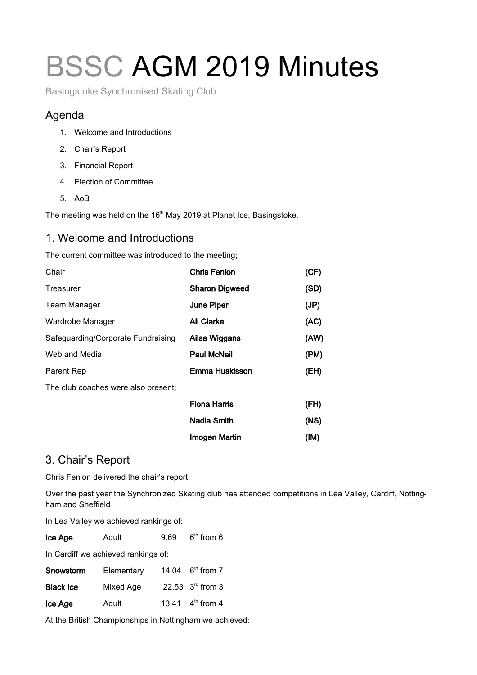# BSSC AGM 2019 Minutes

Basingstoke Synchronised Skating Club

#### Agenda

- 1. Welcome and Introductions
- 2. Chair's Report
- 3. Financial Report
- 4. Election of Committee
- 5. AoB

The meeting was held on the 16<sup>th</sup> May 2019 at Planet Ice, Basingstoke.

#### 1. Welcome and Introductions

The current committee was introduced to the meeting;

| Chair                               | <b>Chris Fenlon</b>   | (CF) |
|-------------------------------------|-----------------------|------|
| Treasurer                           | <b>Sharon Digweed</b> | (SD) |
| <b>Team Manager</b>                 | June Piper            | (JP) |
| Wardrobe Manager                    | <b>Ali Clarke</b>     | (AC) |
| Safeguarding/Corporate Fundraising  | Ailsa Wiggans         | (AW) |
| Web and Media                       | <b>Paul McNeil</b>    | (PM) |
| Parent Rep                          | Emma Huskisson        | (EH) |
| The club coaches were also present; |                       |      |
|                                     | <b>Fiona Harris</b>   | (FH) |
|                                     | Nadia Smith           | (NS) |
|                                     | <b>Imogen Martin</b>  | (IM) |

#### 3. Chair's Report

Chris Fenlon delivered the chair's report.

Over the past year the Synchronized Skating club has attended competitions in Lea Valley, Cardiff, Nottingham and Sheffield

In Lea Valley we achieved rankings of:

| Ice Age                             | Adult      | 9.69 | $6th$ from 6                 |  |  |
|-------------------------------------|------------|------|------------------------------|--|--|
| In Cardiff we achieved rankings of: |            |      |                              |  |  |
| Snowstorm                           | Elementary |      | 14.04 $6^{\text{th}}$ from 7 |  |  |
| <b>Black Ice</b>                    | Mixed Age  |      | 22.53 $3rd$ from 3           |  |  |
| Ice Age                             | Adult      |      | 13.41 $4^{\text{th}}$ from 4 |  |  |
|                                     |            |      |                              |  |  |

At the British Championships in Nottingham we achieved: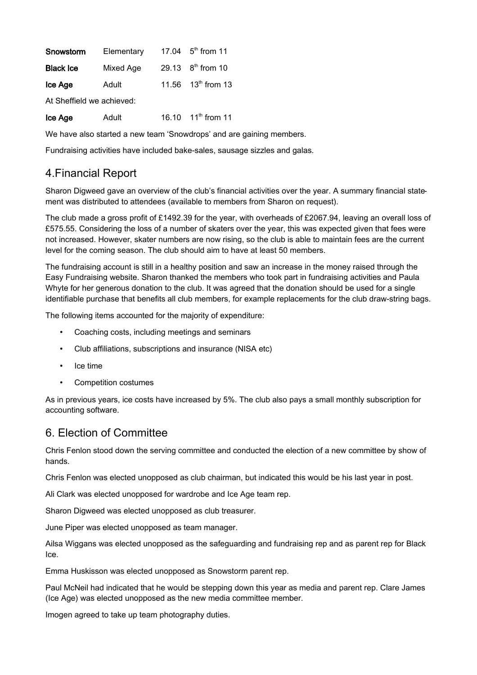| Snowstorm        | Elementary | 17.04 $5^{th}$ from 11         |
|------------------|------------|--------------------------------|
| <b>Black Ice</b> | Mixed Age  | 29.13 8 <sup>th</sup> from 10  |
| Ice Age          | Adult      | 11.56 13 <sup>th</sup> from 13 |

At Sheffield we achieved:

| Ice Age | Adult | 16.10 $11^{th}$ from 11 |
|---------|-------|-------------------------|
|         |       |                         |

We have also started a new team 'Snowdrops' and are gaining members.

Fundraising activities have included bake-sales, sausage sizzles and galas.

## 4.Financial Report

Sharon Digweed gave an overview of the club's financial activities over the year. A summary financial statement was distributed to attendees (available to members from Sharon on request).

The club made a gross profit of £1492.39 for the year, with overheads of £2067.94, leaving an overall loss of £575.55. Considering the loss of a number of skaters over the year, this was expected given that fees were not increased. However, skater numbers are now rising, so the club is able to maintain fees are the current level for the coming season. The club should aim to have at least 50 members.

The fundraising account is still in a healthy position and saw an increase in the money raised through the Easy Fundraising website. Sharon thanked the members who took part in fundraising activities and Paula Whyte for her generous donation to the club. It was agreed that the donation should be used for a single identifiable purchase that benefits all club members, for example replacements for the club draw-string bags.

The following items accounted for the majority of expenditure:

- Coaching costs, including meetings and seminars
- Club affiliations, subscriptions and insurance (NISA etc)
- Ice time
- Competition costumes

As in previous years, ice costs have increased by 5%. The club also pays a small monthly subscription for accounting software.

#### 6. Election of Committee

Chris Fenlon stood down the serving committee and conducted the election of a new committee by show of hands.

Chris Fenlon was elected unopposed as club chairman, but indicated this would be his last year in post.

Ali Clark was elected unopposed for wardrobe and Ice Age team rep.

Sharon Digweed was elected unopposed as club treasurer.

June Piper was elected unopposed as team manager.

Ailsa Wiggans was elected unopposed as the safeguarding and fundraising rep and as parent rep for Black Ice.

Emma Huskisson was elected unopposed as Snowstorm parent rep.

Paul McNeil had indicated that he would be stepping down this year as media and parent rep. Clare James (Ice Age) was elected unopposed as the new media committee member.

Imogen agreed to take up team photography duties.